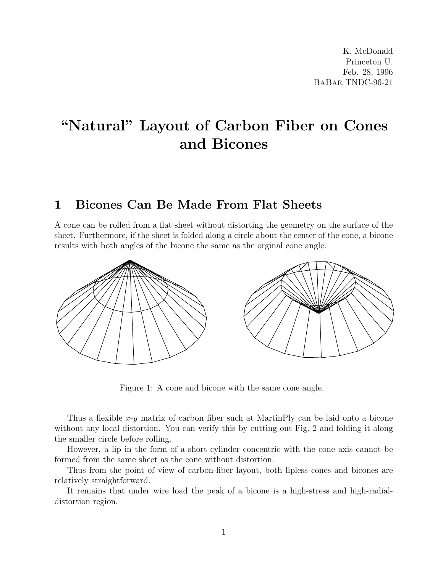## "Natural" Layout of Carbon Fiber on Cones and Bicones

## 1 Bicones Can Be Made From Flat Sheets

A cone can be rolled from a flat sheet without distorting the geometry on the surface of the sheet. Furthermore, if the sheet is folded along a circle about the center of the cone, a bicone results with both angles of the bicone the same as the orginal cone angle.



Figure 1: A cone and bicone with the same cone angle.

Thus a flexible  $x-y$  matrix of carbon fiber such at MartinPly can be laid onto a bicone without any local distortion. You can verify this by cutting out Fig. 2 and folding it along the smaller circle before rolling.

However, a lip in the form of a short cylinder concentric with the cone axis cannot be formed from the same sheet as the cone without distortion.

Thus from the point of view of carbon-fiber layout, both lipless cones and bicones are relatively straightforward.

It remains that under wire load the peak of a bicone is a high-stress and high-radialdistortion region.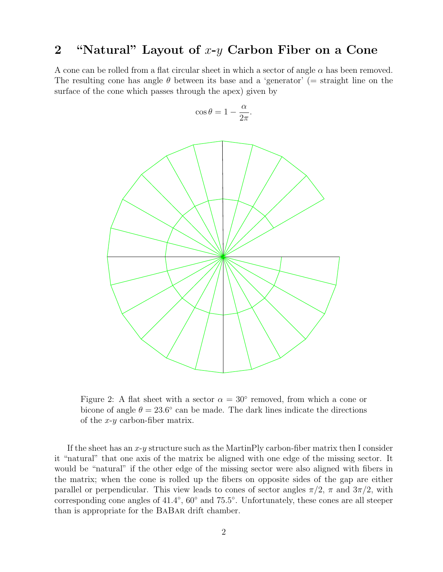## 2 "Natural" Layout of  $x-y$  Carbon Fiber on a Cone

A cone can be rolled from a flat circular sheet in which a sector of angle  $\alpha$  has been removed. The resulting cone has angle  $\theta$  between its base and a 'generator' (= straight line on the surface of the cone which passes through the apex) given by

$$
\cos \theta = 1 - \frac{\alpha}{2\pi}.
$$



Figure 2: A flat sheet with a sector  $\alpha = 30^{\circ}$  removed, from which a cone or bicone of angle  $\theta = 23.6^{\circ}$  can be made. The dark lines indicate the directions of the  $x-y$  carbon-fiber matrix.

If the sheet has an  $x-y$  structure such as the MartinPly carbon-fiber matrix then I consider it "natural" that one axis of the matrix be aligned with one edge of the missing sector. It would be "natural" if the other edge of the missing sector were also aligned with fibers in the matrix; when the cone is rolled up the fibers on opposite sides of the gap are either parallel or perpendicular. This view leads to cones of sector angles  $\pi/2$ ,  $\pi$  and  $3\pi/2$ , with corresponding cone angles of 41.4°, 60° and 75.5°. Unfortunately, these cones are all steeper than is appropriate for the BaBar drift chamber.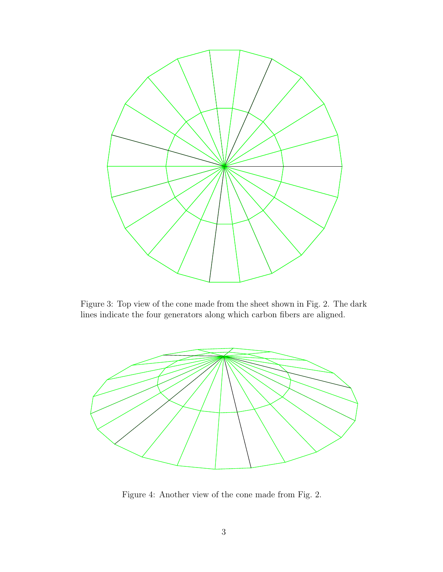

Figure 3: Top view of the cone made from the sheet shown in Fig. 2. The dark lines indicate the four generators along which carbon fibers are aligned.



Figure 4: Another view of the cone made from Fig. 2.